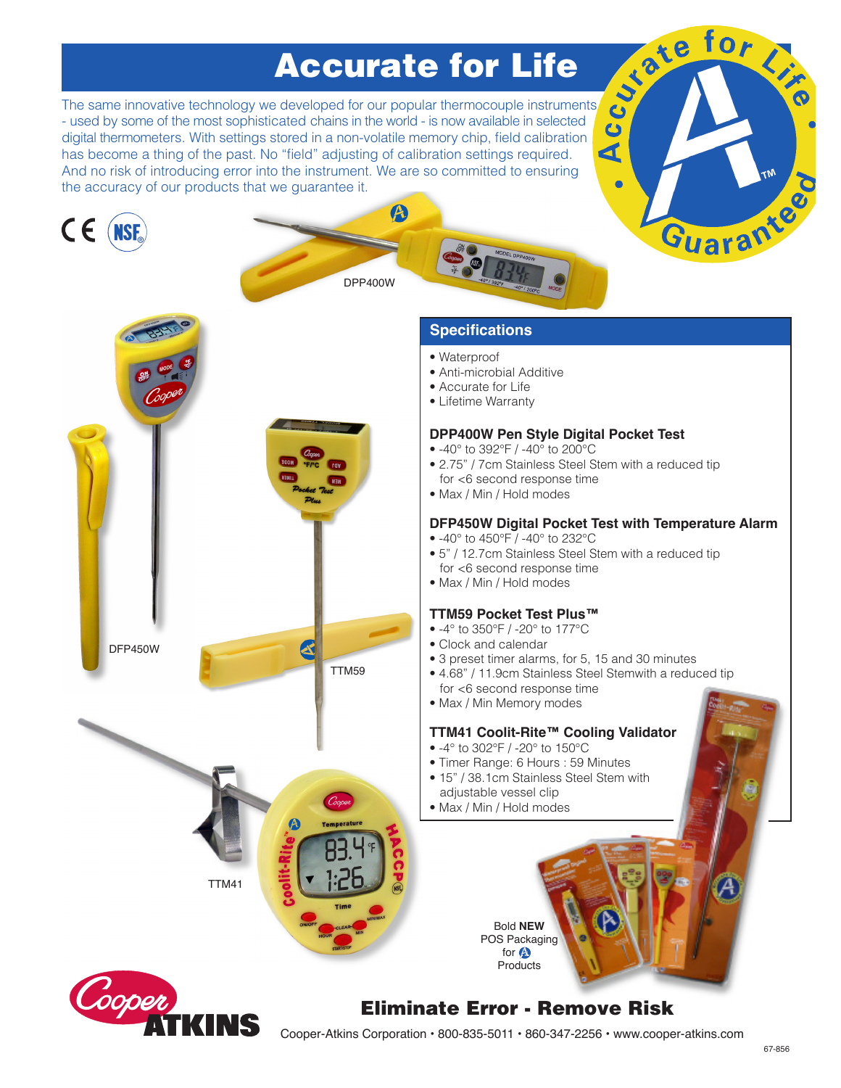# Accurate for Life

 $\overline{\blacktriangle}$ 

The same innovative technology we developed for our popular thermocouple instruments - was by some of the most sophisticated chains in the world - is now available in selected of the most sophisticated chains in the world - used by some of the most sophisticated chains in the world - is now available in selected digital thermometers. With settings stored in a non-volatile memory chip, field calibration has become a thing of the past. No "field" adjusting of calibration settings required. And no risk of introducing error into the instrument. We are so committed to ensuring the accuracy of our products that we guarantee it.



Cooper-Atkins Corporation • 800-835-5011 • 860-347-2256 • www.cooper-atkins.com